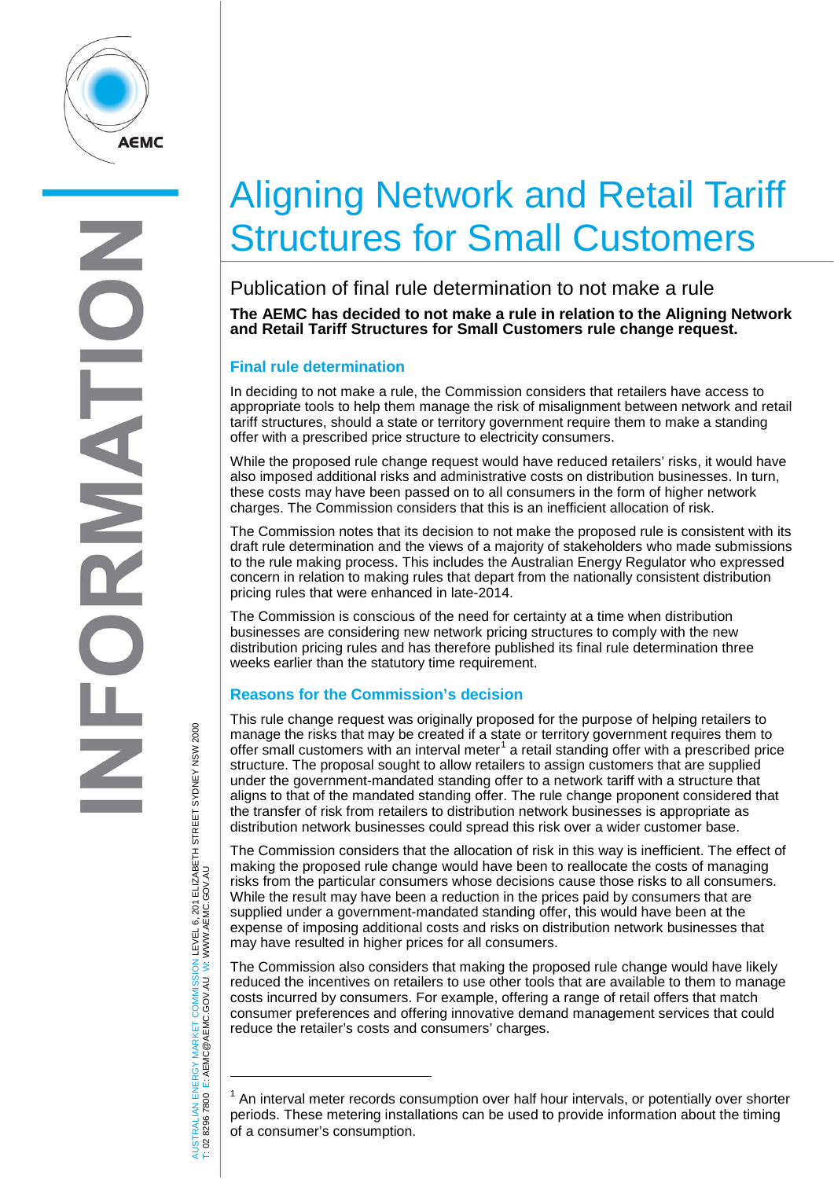

## Aligning Network and Retail Tariff Structures for Small Customers

Publication of final rule determination to not make a rule **The AEMC has decided to not make a rule in relation to the Aligning Network and Retail Tariff Structures for Small Customers rule change request.**

## **Final rule determination**

In deciding to not make a rule, the Commission considers that retailers have access to appropriate tools to help them manage the risk of misalignment between network and retail tariff structures, should a state or territory government require them to make a standing offer with a prescribed price structure to electricity consumers.

While the proposed rule change request would have reduced retailers' risks, it would have also imposed additional risks and administrative costs on distribution businesses. In turn, these costs may have been passed on to all consumers in the form of higher network charges. The Commission considers that this is an inefficient allocation of risk.

The Commission notes that its decision to not make the proposed rule is consistent with its draft rule determination and the views of a majority of stakeholders who made submissions to the rule making process. This includes the Australian Energy Regulator who expressed concern in relation to making rules that depart from the nationally consistent distribution pricing rules that were enhanced in late-2014.

The Commission is conscious of the need for certainty at a time when distribution businesses are considering new network pricing structures to comply with the new distribution pricing rules and has therefore published its final rule determination three weeks earlier than the statutory time requirement.

## **Reasons for the Commission's decision**

This rule change request was originally proposed for the purpose of helping retailers to manage the risks that may be created if a state or territory government requires them to offer small customers with an interval meter<sup>[1](#page-0-0)</sup> a retail standing offer with a prescribed price structure. The proposal sought to allow retailers to assign customers that are supplied under the government-mandated standing offer to a network tariff with a structure that aligns to that of the mandated standing offer. The rule change proponent considered that the transfer of risk from retailers to distribution network businesses is appropriate as distribution network businesses could spread this risk over a wider customer base.

The Commission considers that the allocation of risk in this way is inefficient. The effect of making the proposed rule change would have been to reallocate the costs of managing risks from the particular consumers whose decisions cause those risks to all consumers. While the result may have been a reduction in the prices paid by consumers that are supplied under a government-mandated standing offer, this would have been at the expense of imposing additional costs and risks on distribution network businesses that may have resulted in higher prices for all consumers.

The Commission also considers that making the proposed rule change would have likely reduced the incentives on retailers to use other tools that are available to them to manage costs incurred by consumers. For example, offering a range of retail offers that match consumer preferences and offering innovative demand management services that could reduce the retailer's costs and consumers' charges.

AUSTRALIAN ENERGY MARKET COMMISSION LEVEL 6, 201 ELIZABETH STREET SYDNEY NSW 2000<br>Γ: 02 8296 7800 E: AEMC@AEMC.GOV.AU W: WWW.AEMC.GOV.AU AUSTRALIAN ENERGY MARKET COMMISSION LEVEL 6, 201 ELIZABETH STREET SYDNEY NSW 2000 W: WWW.AEMC.GOV.AU T: 02 8296 7800 E: AEMC@AEMC.GOV.AU

 $\overline{a}$ 

<span id="page-0-0"></span> $1$  An interval meter records consumption over half hour intervals, or potentially over shorter periods. These metering installations can be used to provide information about the timing of a consumer's consumption.